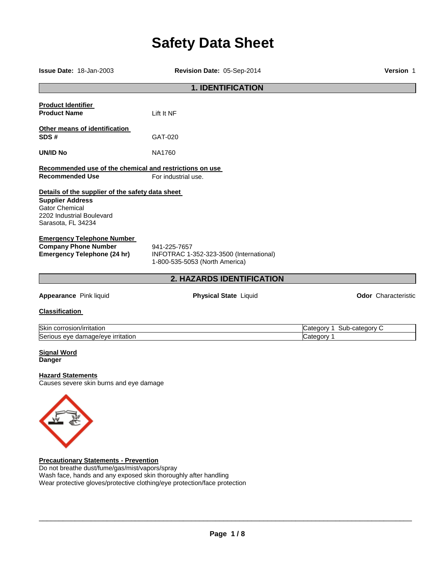# **Safety Data Sheet**

| <b>Issue Date: 18-Jan-2003</b>                                                                                                                          | Revision Date: 05-Sep-2014                                                                | <b>Version 1</b>                           |  |  |  |
|---------------------------------------------------------------------------------------------------------------------------------------------------------|-------------------------------------------------------------------------------------------|--------------------------------------------|--|--|--|
| <b>1. IDENTIFICATION</b>                                                                                                                                |                                                                                           |                                            |  |  |  |
| <b>Product Identifier</b><br><b>Product Name</b>                                                                                                        | Lift It NF                                                                                |                                            |  |  |  |
| Other means of identification<br>SDS#                                                                                                                   | GAT-020                                                                                   |                                            |  |  |  |
| UN/ID No                                                                                                                                                | <b>NA1760</b>                                                                             |                                            |  |  |  |
| Recommended use of the chemical and restrictions on use<br><b>Recommended Use</b>                                                                       | For industrial use.                                                                       |                                            |  |  |  |
| Details of the supplier of the safety data sheet<br><b>Supplier Address</b><br><b>Gator Chemical</b><br>2202 Industrial Boulevard<br>Sarasota, FL 34234 |                                                                                           |                                            |  |  |  |
| <b>Emergency Telephone Number</b><br><b>Company Phone Number</b><br><b>Emergency Telephone (24 hr)</b>                                                  | 941-225-7657<br>INFOTRAC 1-352-323-3500 (International)<br>1-800-535-5053 (North America) |                                            |  |  |  |
|                                                                                                                                                         | 2. HAZARDS IDENTIFICATION                                                                 |                                            |  |  |  |
| Appearance Pink liquid                                                                                                                                  | <b>Physical State Liquid</b>                                                              | <b>Odor</b> Characteristic                 |  |  |  |
| <b>Classification</b>                                                                                                                                   |                                                                                           |                                            |  |  |  |
| Skin corrosion/irritation<br>Serious eye damage/eye irritation                                                                                          |                                                                                           | Sub-category C<br>Category 1<br>Category 1 |  |  |  |
| <b>Signal Word</b><br><b>Danger</b>                                                                                                                     |                                                                                           |                                            |  |  |  |
| <b>Hazard Statements</b><br>Causes severe skin burns and eye damage                                                                                     |                                                                                           |                                            |  |  |  |
|                                                                                                                                                         |                                                                                           |                                            |  |  |  |
| <b>Precautionary Statements - Prevention</b><br>$\Gamma$ and broaths duattump (and mint) upper langu                                                    |                                                                                           |                                            |  |  |  |

Do not breathe dust/fume/gas/mist/vapors/spray Wash face, hands and any exposed skin thoroughly after handling Wear protective gloves/protective clothing/eye protection/face protection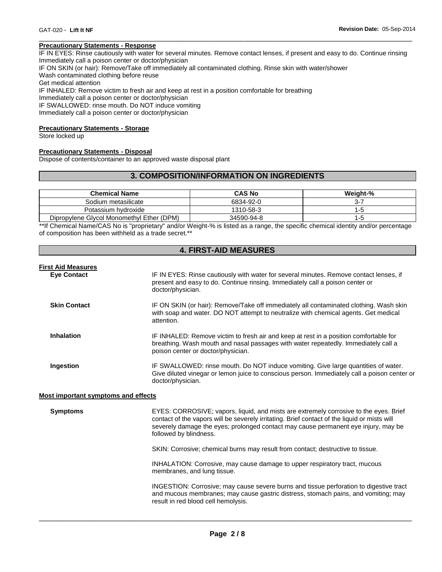#### **Precautionary Statements - Response**

IF IN EYES: Rinse cautiously with water for several minutes. Remove contact lenses, if present and easy to do. Continue rinsing Immediately call a poison center or doctor/physician

\_\_\_\_\_\_\_\_\_\_\_\_\_\_\_\_\_\_\_\_\_\_\_\_\_\_\_\_\_\_\_\_\_\_\_\_\_\_\_\_\_\_\_\_\_\_\_\_\_\_\_\_\_\_\_\_\_\_\_\_\_\_\_\_\_\_\_\_\_\_\_\_\_\_\_\_\_\_\_\_\_\_\_\_\_\_\_\_\_\_\_\_\_

IF ON SKIN (or hair): Remove/Take off immediately all contaminated clothing. Rinse skin with water/shower

Wash contaminated clothing before reuse

Get medical attention

IF INHALED: Remove victim to fresh air and keep at rest in a position comfortable for breathing

Immediately call a poison center or doctor/physician

IF SWALLOWED: rinse mouth. Do NOT induce vomiting

Immediately call a poison center or doctor/physician

#### **Precautionary Statements - Storage**

Store locked up

#### **Precautionary Statements - Disposal**

Dispose of contents/container to an approved waste disposal plant

# **3. COMPOSITION/INFORMATION ON INGREDIENTS**

| <b>Chemical Name</b>                      | <b>CAS No</b> | Weight-% |
|-------------------------------------------|---------------|----------|
| Sodium metasilicate                       | 6834-92-0     |          |
| Potassium hydroxide                       | 1310-58-3     | ה- ו     |
| Dipropylene Glycol Monomethyl Ether (DPM) | 34590-94-8    | l -5     |

\*\*If Chemical Name/CAS No is "proprietary" and/or Weight-% is listed as a range, the specific chemical identity and/or percentage of composition has been withheld as a trade secret.\*\*

|  |  |  | <b>4. FIRST-AID MEASURES</b> |
|--|--|--|------------------------------|
|--|--|--|------------------------------|

**Eye Contact** IF IN EYES: Rinse cautiously with water for several minutes. Remove contact lenses, if present and easy to do. Continue rinsing. Immediately call a poison center or doctor/physician.

**Skin Contact IF ON SKIN** (or hair): Remove/Take off immediately all contaminated clothing. Wash skin with soap and water. DO NOT attempt to neutralize with chemical agents. Get medical attention.

#### **Inhalation** IF INHALED: Remove victim to fresh air and keep at rest in a position comfortable for breathing. Wash mouth and nasal passages with water repeatedly. Immediately call a poison center or doctor/physician.

**Ingestion IF SWALLOWED:** rinse mouth. Do NOT induce vomiting. Give large quantities of water. Give diluted vinegar or lemon juice to conscious person. Immediately call a poison center or doctor/physician.

#### **Most important symptoms and effects**

**Symptoms** EYES: CORROSIVE; vapors, liquid, and mists are extremely corrosive to the eyes. Brief contact of the vapors will be severely irritating. Brief contact of the liquid or mists will severely damage the eyes; prolonged contact may cause permanent eye injury, may be followed by blindness.

SKIN: Corrosive; chemical burns may result from contact; destructive to tissue.

INHALATION: Corrosive, may cause damage to upper respiratory tract, mucous membranes, and lung tissue.

INGESTION: Corrosive; may cause severe burns and tissue perforation to digestive tract and mucous membranes; may cause gastric distress, stomach pains, and vomiting; may result in red blood cell hemolysis.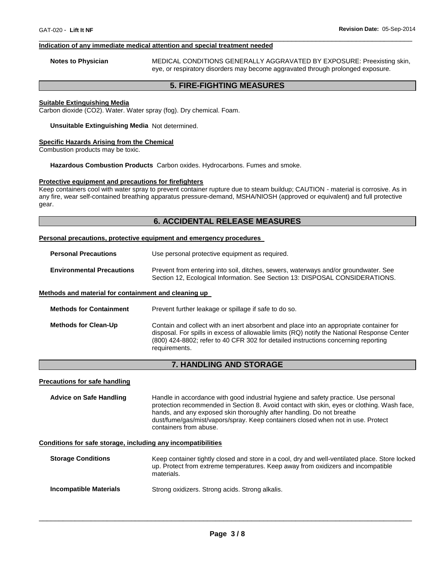#### **Indication of any immediate medical attention and special treatment needed**

**Notes to Physician** MEDICAL CONDITIONS GENERALLY AGGRAVATED BY EXPOSURE: Preexisting skin, eye, or respiratory disorders may become aggravated through prolonged exposure.

# **5. FIRE-FIGHTING MEASURES**

\_\_\_\_\_\_\_\_\_\_\_\_\_\_\_\_\_\_\_\_\_\_\_\_\_\_\_\_\_\_\_\_\_\_\_\_\_\_\_\_\_\_\_\_\_\_\_\_\_\_\_\_\_\_\_\_\_\_\_\_\_\_\_\_\_\_\_\_\_\_\_\_\_\_\_\_\_\_\_\_\_\_\_\_\_\_\_\_\_\_\_\_\_

# **Suitable Extinguishing Media**

Carbon dioxide (CO2). Water. Water spray (fog). Dry chemical. Foam.

#### **Unsuitable Extinguishing Media** Not determined.

#### **Specific Hazards Arising from the Chemical**

Combustion products may be toxic.

#### **Hazardous Combustion Products** Carbon oxides. Hydrocarbons. Fumes and smoke.

#### **Protective equipment and precautions for firefighters**

Keep containers cool with water spray to prevent container rupture due to steam buildup; CAUTION - material is corrosive. As in any fire, wear self-contained breathing apparatus pressure-demand, MSHA/NIOSH (approved or equivalent) and full protective gear.

# **6. ACCIDENTAL RELEASE MEASURES**

#### **Personal precautions, protective equipment and emergency procedures**

| <b>Personal Precautions</b>      | Use personal protective equipment as required.                                                                                                                      |
|----------------------------------|---------------------------------------------------------------------------------------------------------------------------------------------------------------------|
| <b>Environmental Precautions</b> | Prevent from entering into soil, ditches, sewers, waterways and/or groundwater. See<br>Section 12, Ecological Information. See Section 13: DISPOSAL CONSIDERATIONS. |

#### **Methods and material for containment and cleaning up**

| <b>Methods for Containment</b> | Prevent further leakage or spillage if safe to do so.                                                                                                                                                                                                                                         |
|--------------------------------|-----------------------------------------------------------------------------------------------------------------------------------------------------------------------------------------------------------------------------------------------------------------------------------------------|
| <b>Methods for Clean-Up</b>    | Contain and collect with an inert absorbent and place into an appropriate container for<br>disposal. For spills in excess of allowable limits (RQ) notify the National Response Center<br>(800) 424-8802; refer to 40 CFR 302 for detailed instructions concerning reporting<br>requirements. |

# **7. HANDLING AND STORAGE**

#### **Precautions for safe handling**

**Advice on Safe Handling** Handle in accordance with good industrial hygiene and safety practice. Use personal protection recommended in Section 8. Avoid contact with skin, eyes or clothing. Wash face, hands, and any exposed skin thoroughly after handling. Do not breathe dust/fume/gas/mist/vapors/spray. Keep containers closed when not in use. Protect containers from abuse.

#### **Conditions for safe storage, including any incompatibilities**

| <b>Storage Conditions</b>     | Keep container tightly closed and store in a cool, dry and well-ventilated place. Store locked<br>up. Protect from extreme temperatures. Keep away from oxidizers and incompatible<br>materials. |
|-------------------------------|--------------------------------------------------------------------------------------------------------------------------------------------------------------------------------------------------|
| <b>Incompatible Materials</b> | Strong oxidizers. Strong acids. Strong alkalis.                                                                                                                                                  |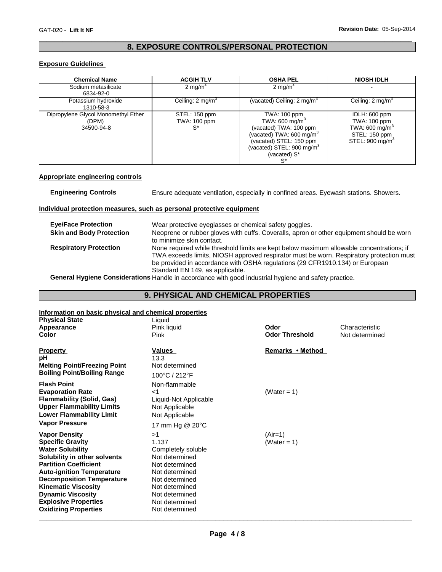# \_\_\_\_\_\_\_\_\_\_\_\_\_\_\_\_\_\_\_\_\_\_\_\_\_\_\_\_\_\_\_\_\_\_\_\_\_\_\_\_\_\_\_\_\_\_\_\_\_\_\_\_\_\_\_\_\_\_\_\_\_\_\_\_\_\_\_\_\_\_\_\_\_\_\_\_\_\_\_\_\_\_\_\_\_\_\_\_\_\_\_\_\_ **8. EXPOSURE CONTROLS/PERSONAL PROTECTION**

# **Exposure Guidelines**

| <b>Chemical Name</b>                                       | <b>ACGIH TLV</b>                           | <b>OSHA PEL</b>                                                                                                                                                                      | <b>NIOSH IDLH</b>                                                                                           |
|------------------------------------------------------------|--------------------------------------------|--------------------------------------------------------------------------------------------------------------------------------------------------------------------------------------|-------------------------------------------------------------------------------------------------------------|
| Sodium metasilicate<br>6834-92-0                           | 2 mg/ $m^3$                                | 2 mg/m $3$                                                                                                                                                                           |                                                                                                             |
| Potassium hydroxide<br>1310-58-3                           | Ceiling: $2 \text{ mg/m}^3$                | (vacated) Ceiling: 2 mg/m <sup>3</sup>                                                                                                                                               | Ceiling: $2 \text{ mg/m}^3$                                                                                 |
| Dipropylene Glycol Monomethyl Ether<br>(DPM)<br>34590-94-8 | STEL: 150 ppm<br><b>TWA: 100 ppm</b><br>S* | TWA: 100 ppm<br>TWA: 600 mg/m $3$<br>(vacated) TWA: 100 ppm<br>(vacated) TWA: 600 mg/m $3$<br>(vacated) STEL: 150 ppm<br>(vacated) STEL: 900 mg/m <sup>3</sup><br>(vacated) S*<br>S* | IDLH: 600 ppm<br>TWA: 100 ppm<br>TWA: 600 mg/m <sup>3</sup><br>STEL: 150 ppm<br>STEL: 900 mg/m <sup>3</sup> |

#### **Appropriate engineering controls**

**Engineering Controls** Ensure adequate ventilation, especially in confined areas. Eyewash stations. Showers.

### **Individual protection measures, such as personal protective equipment**

| <b>Eye/Face Protection</b>      | Wear protective eyeglasses or chemical safety goggles.                                                                                                                                                                                                                                                 |
|---------------------------------|--------------------------------------------------------------------------------------------------------------------------------------------------------------------------------------------------------------------------------------------------------------------------------------------------------|
| <b>Skin and Body Protection</b> | Neoprene or rubber gloves with cuffs. Coveralls, apron or other equipment should be worn<br>to minimize skin contact.                                                                                                                                                                                  |
| <b>Respiratory Protection</b>   | None required while threshold limits are kept below maximum allowable concentrations; if<br>TWA exceeds limits, NIOSH approved respirator must be worn. Respiratory protection must<br>be provided in accordance with OSHA regulations (29 CFR1910.134) or European<br>Standard EN 149, as applicable. |
|                                 |                                                                                                                                                                                                                                                                                                        |

**General Hygiene Considerations** Handle in accordance with good industrial hygiene and safety practice.

# **9. PHYSICAL AND CHEMICAL PROPERTIES**

# **Information on basic physical and chemical properties**

| <u>INTO Mation on basic privilege and chemical properties</u> |                       |                       |                |
|---------------------------------------------------------------|-----------------------|-----------------------|----------------|
| <b>Physical State</b>                                         | Liquid                |                       |                |
| Appearance                                                    | Pink liquid           | Odor                  | Characteristic |
| <b>Color</b>                                                  | Pink                  | <b>Odor Threshold</b> | Not determined |
|                                                               |                       |                       |                |
| <b>Property</b>                                               | Values                | Remarks • Method      |                |
| рH                                                            | 13.3                  |                       |                |
| <b>Melting Point/Freezing Point</b>                           | Not determined        |                       |                |
| <b>Boiling Point/Boiling Range</b>                            | 100°C / 212°F         |                       |                |
| <b>Flash Point</b>                                            | Non-flammable         |                       |                |
| <b>Evaporation Rate</b>                                       | ا>                    | (Water = 1)           |                |
| <b>Flammability (Solid, Gas)</b>                              | Liquid-Not Applicable |                       |                |
| <b>Upper Flammability Limits</b>                              | Not Applicable        |                       |                |
| <b>Lower Flammability Limit</b>                               | Not Applicable        |                       |                |
| <b>Vapor Pressure</b>                                         | 17 mm Hg @ 20°C       |                       |                |
| <b>Vapor Density</b>                                          | >1                    | $(Air=1)$             |                |
| <b>Specific Gravity</b>                                       | 1.137                 | (Water = 1)           |                |
| <b>Water Solubility</b>                                       | Completely soluble    |                       |                |
| Solubility in other solvents                                  | Not determined        |                       |                |
| <b>Partition Coefficient</b>                                  | Not determined        |                       |                |
| <b>Auto-ignition Temperature</b>                              | Not determined        |                       |                |
| <b>Decomposition Temperature</b>                              | Not determined        |                       |                |
| <b>Kinematic Viscosity</b>                                    | Not determined        |                       |                |
| <b>Dynamic Viscosity</b>                                      | Not determined        |                       |                |
| <b>Explosive Properties</b>                                   | Not determined        |                       |                |
| <b>Oxidizing Properties</b>                                   | Not determined        |                       |                |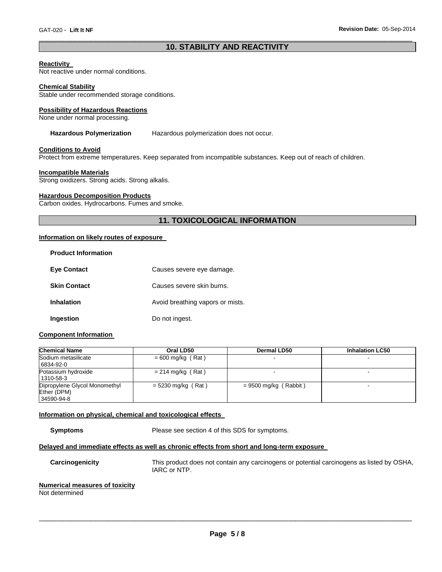# \_\_\_\_\_\_\_\_\_\_\_\_\_\_\_\_\_\_\_\_\_\_\_\_\_\_\_\_\_\_\_\_\_\_\_\_\_\_\_\_\_\_\_\_\_\_\_\_\_\_\_\_\_\_\_\_\_\_\_\_\_\_\_\_\_\_\_\_\_\_\_\_\_\_\_\_\_\_\_\_\_\_\_\_\_\_\_\_\_\_\_\_\_ **10. STABILITY AND REACTIVITY**

#### **Reactivity**

Not reactive under normal conditions.

#### **Chemical Stability**

Stable under recommended storage conditions.

#### **Possibility of Hazardous Reactions**

None under normal processing.

# **Hazardous Polymerization** Hazardous polymerization does not occur.

#### **Conditions to Avoid**

Protect from extreme temperatures. Keep separated from incompatible substances. Keep out of reach of children.

#### **Incompatible Materials**

Strong oxidizers. Strong acids. Strong alkalis.

#### **Hazardous Decomposition Products**

Carbon oxides. Hydrocarbons. Fumes and smoke.

# **11. TOXICOLOGICAL INFORMATION**

#### **Information on likely routes of exposure**

| <b>Product Information</b> |                                  |
|----------------------------|----------------------------------|
| <b>Eye Contact</b>         | Causes severe eye damage.        |
| <b>Skin Contact</b>        | Causes severe skin burns.        |
| <b>Inhalation</b>          | Avoid breathing vapors or mists. |
| Ingestion                  | Do not ingest.                   |

#### **Component Information**

| <b>Chemical Name</b>                                       | Oral LD50            | Dermal LD50             | <b>Inhalation LC50</b> |
|------------------------------------------------------------|----------------------|-------------------------|------------------------|
| Sodium metasilicate<br>6834-92-0                           | $= 600$ mg/kg (Rat)  |                         |                        |
| Potassium hydroxide<br>1310-58-3                           | $= 214$ mg/kg (Rat)  |                         |                        |
| Dipropylene Glycol Monomethyl<br>Ether (DPM)<br>34590-94-8 | $= 5230$ mg/kg (Rat) | $= 9500$ mg/kg (Rabbit) | -                      |

#### **Information on physical, chemical and toxicological effects**

**Symptoms** Please see section 4 of this SDS for symptoms.

# **Delayed and immediate effects as well as chronic effects from short and long-term exposure**

**Carcinogenicity** This product does not contain any carcinogens or potential carcinogens as listed by OSHA, IARC or NTP.

# **Numerical measures of toxicity**

Not determined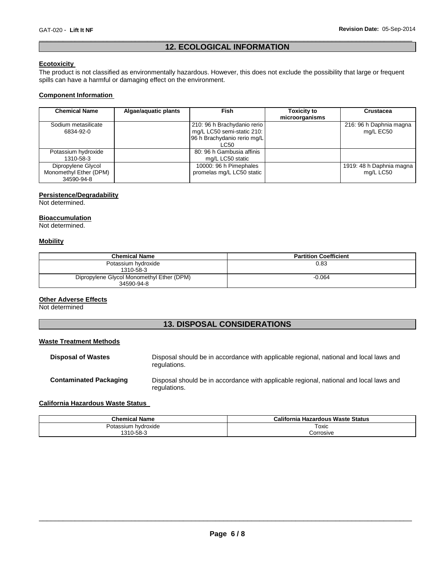# \_\_\_\_\_\_\_\_\_\_\_\_\_\_\_\_\_\_\_\_\_\_\_\_\_\_\_\_\_\_\_\_\_\_\_\_\_\_\_\_\_\_\_\_\_\_\_\_\_\_\_\_\_\_\_\_\_\_\_\_\_\_\_\_\_\_\_\_\_\_\_\_\_\_\_\_\_\_\_\_\_\_\_\_\_\_\_\_\_\_\_\_\_ **12. ECOLOGICAL INFORMATION**

# **Ecotoxicity**

The product is not classified as environmentally hazardous. However, this does not exclude the possibility that large or frequent spills can have a harmful or damaging effect on the environment.

# **Component Information**

| <b>Chemical Name</b>                                       | Algae/aguatic plants | <b>Fish</b>                                                                                      | <b>Toxicity to</b><br>microorganisms | <b>Crustacea</b>                      |
|------------------------------------------------------------|----------------------|--------------------------------------------------------------------------------------------------|--------------------------------------|---------------------------------------|
| Sodium metasilicate<br>6834-92-0                           |                      | 210: 96 h Brachydanio rerio<br>mg/L LC50 semi-static 210:<br>96 h Brachydanio rerio mg/L<br>LC50 |                                      | 216: 96 h Daphnia magna<br>mg/L EC50  |
| Potassium hydroxide<br>1310-58-3                           |                      | 80: 96 h Gambusia affinis<br>mg/L LC50 static                                                    |                                      |                                       |
| Dipropylene Glycol<br>Monomethyl Ether (DPM)<br>34590-94-8 |                      | 10000: 96 h Pimephales<br>promelas mg/L LC50 static                                              |                                      | 1919: 48 h Daphnia magna<br>mg/L LC50 |

# **Persistence/Degradability**

Not determined.

# **Bioaccumulation**

Not determined.

# **Mobility**

| <b>Chemical Name</b>                      | <b>Partition Coefficient</b> |
|-------------------------------------------|------------------------------|
| Potassium hydroxide                       | 0.83                         |
| 1310-58-3                                 |                              |
| Dipropylene Glycol Monomethyl Ether (DPM) | $-0.064$                     |
| 34590-94-8                                |                              |

#### **Other Adverse Effects**

Not determined

# **13. DISPOSAL CONSIDERATIONS**

# **Waste Treatment Methods**

| <b>Disposal of Wastes</b>     | Disposal should be in accordance with applicable regional, national and local laws and<br>regulations. |
|-------------------------------|--------------------------------------------------------------------------------------------------------|
| <b>Contaminated Packaging</b> | Disposal should be in accordance with applicable regional, national and local laws and<br>regulations. |

# **California Hazardous Waste Status**

| <b>Chemical Name</b>               | California Hazardous Waste Status |
|------------------------------------|-----------------------------------|
| , hvdroxide<br>'otassium<br>- ۱۸۴۸ | Toxic<br>$\sim$ $\sim$            |
| 310-58-3                           | corrosive.                        |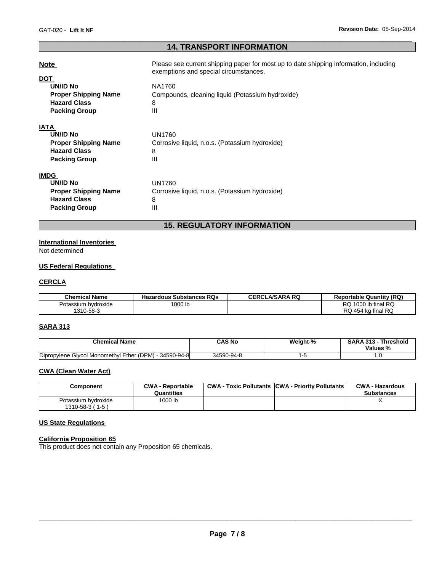# \_\_\_\_\_\_\_\_\_\_\_\_\_\_\_\_\_\_\_\_\_\_\_\_\_\_\_\_\_\_\_\_\_\_\_\_\_\_\_\_\_\_\_\_\_\_\_\_\_\_\_\_\_\_\_\_\_\_\_\_\_\_\_\_\_\_\_\_\_\_\_\_\_\_\_\_\_\_\_\_\_\_\_\_\_\_\_\_\_\_\_\_\_ **14. TRANSPORT INFORMATION**

| <b>Note</b>                                                                                                 | Please see current shipping paper for most up to date shipping information, including<br>exemptions and special circumstances. |
|-------------------------------------------------------------------------------------------------------------|--------------------------------------------------------------------------------------------------------------------------------|
| <b>DOT</b><br><b>UN/ID No</b><br><b>Proper Shipping Name</b><br><b>Hazard Class</b><br><b>Packing Group</b> | NA1760<br>Compounds, cleaning liquid (Potassium hydroxide)<br>8<br>Ш                                                           |
| <b>IATA</b><br>UN/ID No<br><b>Proper Shipping Name</b><br><b>Hazard Class</b><br><b>Packing Group</b>       | <b>UN1760</b><br>Corrosive liquid, n.o.s. (Potassium hydroxide)<br>8<br>Ш                                                      |
| <b>IMDG</b><br>UN/ID No<br><b>Proper Shipping Name</b><br><b>Hazard Class</b><br><b>Packing Group</b>       | UN1760<br>Corrosive liquid, n.o.s. (Potassium hydroxide)<br>8<br>Ш                                                             |

# **15. REGULATORY INFORMATION**

# **International Inventories**

Not determined

# **US Federal Regulations**

# **CERCLA**

| <b>Chemical Name</b> | <b>Hazardous Substances RQs</b> | <b>CERCLA/SARA RQ</b> | <b>Reportable Quantity (RQ)</b> |
|----------------------|---------------------------------|-----------------------|---------------------------------|
| Potassium hvdroxide  | ' 000 lb                        |                       | $1000$ lb final RQ<br>RQ.       |
| 1310-58-3            |                                 |                       | RQ 454 kg final RQ              |

# **SARA 313**

| <b>Chemical Name</b>                                           | CAS No     | Weight-% | <b>SARA 313</b><br>Threshold<br>Values % |
|----------------------------------------------------------------|------------|----------|------------------------------------------|
| Dipropylene<br>: Glycol Monomethyl Ether (DPM) -<br>34590-94-8 | 34590-94-8 |          |                                          |

# **CWA (Clean Water Act)**

| Component                                     | <b>CWA - Reportable</b><br>Quantities | <b>CWA - Toxic Pollutants CWA - Priority Pollutants</b> | <b>CWA - Hazardous</b><br><b>Substances</b> |
|-----------------------------------------------|---------------------------------------|---------------------------------------------------------|---------------------------------------------|
| Potassium hydroxide<br>$1310 - 58 - 3(1 - 5)$ | 1000 lb                               |                                                         |                                             |

# **US State Regulations**

#### **California Proposition 65**

This product does not contain any Proposition 65 chemicals.